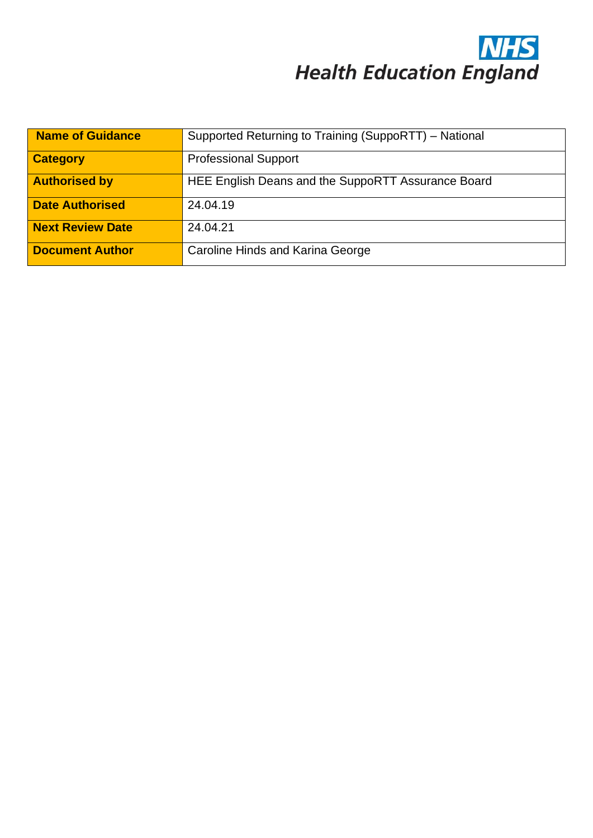

| <b>Name of Guidance</b> | Supported Returning to Training (SuppoRTT) – National |
|-------------------------|-------------------------------------------------------|
| <b>Category</b>         | <b>Professional Support</b>                           |
| <b>Authorised by</b>    | HEE English Deans and the SuppoRTT Assurance Board    |
| <b>Date Authorised</b>  | 24.04.19                                              |
| <b>Next Review Date</b> | 24.04.21                                              |
| <b>Document Author</b>  | Caroline Hinds and Karina George                      |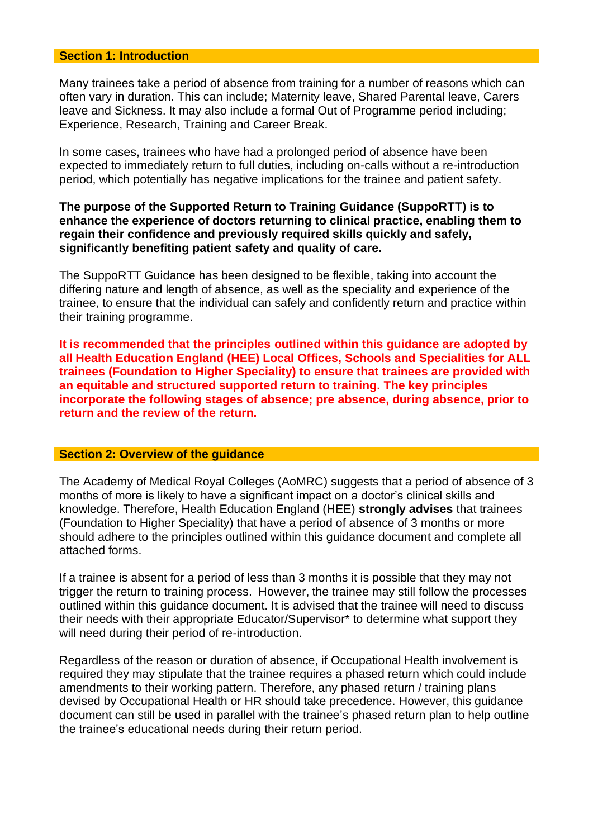#### **Section 1: Introduction**

Many trainees take a period of absence from training for a number of reasons which can often vary in duration. This can include; Maternity leave, Shared Parental leave, Carers leave and Sickness. It may also include a formal Out of Programme period including; Experience, Research, Training and Career Break.

In some cases, trainees who have had a prolonged period of absence have been expected to immediately return to full duties, including on-calls without a re-introduction period, which potentially has negative implications for the trainee and patient safety.

## **The purpose of the Supported Return to Training Guidance (SuppoRTT) is to enhance the experience of doctors returning to clinical practice, enabling them to regain their confidence and previously required skills quickly and safely, significantly benefiting patient safety and quality of care.**

The SuppoRTT Guidance has been designed to be flexible, taking into account the differing nature and length of absence, as well as the speciality and experience of the trainee, to ensure that the individual can safely and confidently return and practice within their training programme.

**It is recommended that the principles outlined within this guidance are adopted by all Health Education England (HEE) Local Offices, Schools and Specialities for ALL trainees (Foundation to Higher Speciality) to ensure that trainees are provided with an equitable and structured supported return to training. The key principles incorporate the following stages of absence; pre absence, during absence, prior to return and the review of the return.** 

## **Section 2: Overview of the guidance**

The Academy of Medical Royal Colleges (AoMRC) suggests that a period of absence of 3 months of more is likely to have a significant impact on a doctor's clinical skills and knowledge. Therefore, Health Education England (HEE) **strongly advises** that trainees (Foundation to Higher Speciality) that have a period of absence of 3 months or more should adhere to the principles outlined within this guidance document and complete all attached forms.

If a trainee is absent for a period of less than 3 months it is possible that they may not trigger the return to training process. However, the trainee may still follow the processes outlined within this guidance document. It is advised that the trainee will need to discuss their needs with their appropriate Educator/Supervisor\* to determine what support they will need during their period of re-introduction.

Regardless of the reason or duration of absence, if Occupational Health involvement is required they may stipulate that the trainee requires a phased return which could include amendments to their working pattern. Therefore, any phased return / training plans devised by Occupational Health or HR should take precedence. However, this guidance document can still be used in parallel with the trainee's phased return plan to help outline the trainee's educational needs during their return period.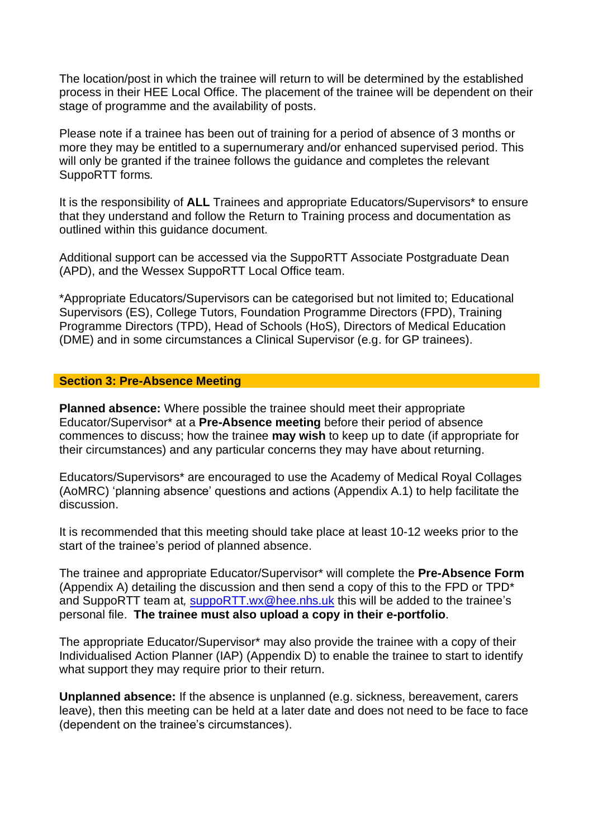The location/post in which the trainee will return to will be determined by the established process in their HEE Local Office. The placement of the trainee will be dependent on their stage of programme and the availability of posts.

Please note if a trainee has been out of training for a period of absence of 3 months or more they may be entitled to a supernumerary and/or enhanced supervised period. This will only be granted if the trainee follows the guidance and completes the relevant SuppoRTT forms*.*

It is the responsibility of **ALL** Trainees and appropriate Educators/Supervisors\* to ensure that they understand and follow the Return to Training process and documentation as outlined within this guidance document.

Additional support can be accessed via the SuppoRTT Associate Postgraduate Dean (APD), and the Wessex SuppoRTT Local Office team.

\*Appropriate Educators/Supervisors can be categorised but not limited to; Educational Supervisors (ES), College Tutors, Foundation Programme Directors (FPD), Training Programme Directors (TPD), Head of Schools (HoS), Directors of Medical Education (DME) and in some circumstances a Clinical Supervisor (e.g. for GP trainees).

## **Section 3: Pre-Absence Meeting**

**Planned absence:** Where possible the trainee should meet their appropriate Educator/Supervisor\* at a **Pre-Absence meeting** before their period of absence commences to discuss; how the trainee **may wish** to keep up to date (if appropriate for their circumstances) and any particular concerns they may have about returning.

Educators/Supervisors\* are encouraged to use the Academy of Medical Royal Collages (AoMRC) 'planning absence' questions and actions (Appendix A.1) to help facilitate the discussion.

It is recommended that this meeting should take place at least 10-12 weeks prior to the start of the trainee's period of planned absence.

The trainee and appropriate Educator/Supervisor\* will complete the **Pre-Absence Form** (Appendix A) detailing the discussion and then send a copy of this to the FPD or TPD\* and SuppoRTT team at*,* [suppoRTT.wx@hee.nhs.uk](mailto:suppoRTT.wx@hee.nhs.uk) this will be added to the trainee's personal file. **The trainee must also upload a copy in their e-portfolio**.

The appropriate Educator/Supervisor\* may also provide the trainee with a copy of their Individualised Action Planner (IAP) (Appendix D) to enable the trainee to start to identify what support they may require prior to their return.

**Unplanned absence:** If the absence is unplanned (e.g. sickness, bereavement, carers leave), then this meeting can be held at a later date and does not need to be face to face (dependent on the trainee's circumstances).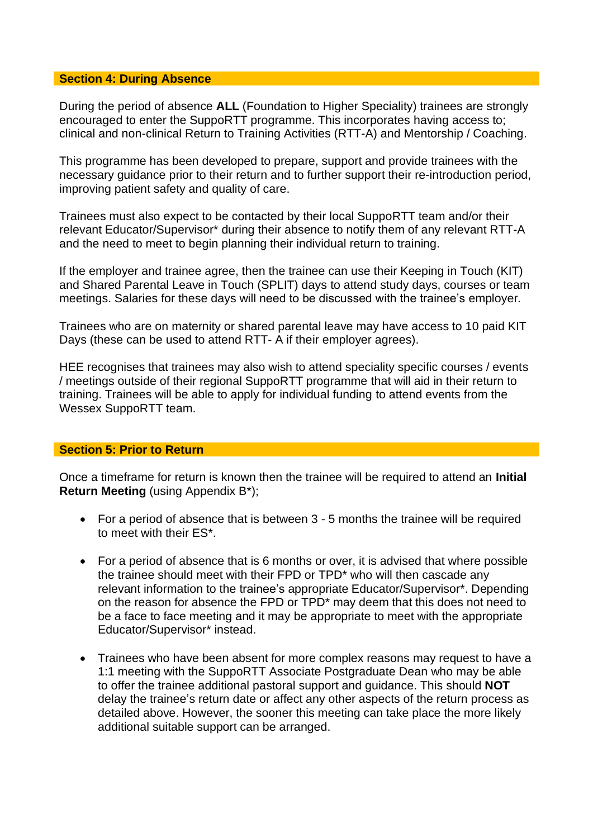#### **Section 4: During Absence**

During the period of absence **ALL** (Foundation to Higher Speciality) trainees are strongly encouraged to enter the SuppoRTT programme. This incorporates having access to; clinical and non-clinical Return to Training Activities (RTT-A) and Mentorship / Coaching.

This programme has been developed to prepare, support and provide trainees with the necessary guidance prior to their return and to further support their re-introduction period, improving patient safety and quality of care.

Trainees must also expect to be contacted by their local SuppoRTT team and/or their relevant Educator/Supervisor\* during their absence to notify them of any relevant RTT-A and the need to meet to begin planning their individual return to training.

If the employer and trainee agree, then the trainee can use their Keeping in Touch (KIT) and Shared Parental Leave in Touch (SPLIT) days to attend study days, courses or team meetings. Salaries for these days will need to be discussed with the trainee's employer*.* 

Trainees who are on maternity or shared parental leave may have access to 10 paid KIT Days (these can be used to attend RTT- A if their employer agrees).

HEE recognises that trainees may also wish to attend speciality specific courses / events / meetings outside of their regional SuppoRTT programme that will aid in their return to training. Trainees will be able to apply for individual funding to attend events from the Wessex SuppoRTT team.

#### **Section 5: Prior to Return**

Once a timeframe for return is known then the trainee will be required to attend an **Initial Return Meeting** (using Appendix B\*);

- For a period of absence that is between 3 5 months the trainee will be required to meet with their ES\*.
- For a period of absence that is 6 months or over, it is advised that where possible the trainee should meet with their FPD or TPD\* who will then cascade any relevant information to the trainee's appropriate Educator/Supervisor\*. Depending on the reason for absence the FPD or TPD\* may deem that this does not need to be a face to face meeting and it may be appropriate to meet with the appropriate Educator/Supervisor\* instead.
- Trainees who have been absent for more complex reasons may request to have a 1:1 meeting with the SuppoRTT Associate Postgraduate Dean who may be able to offer the trainee additional pastoral support and guidance. This should **NOT** delay the trainee's return date or affect any other aspects of the return process as detailed above. However, the sooner this meeting can take place the more likely additional suitable support can be arranged.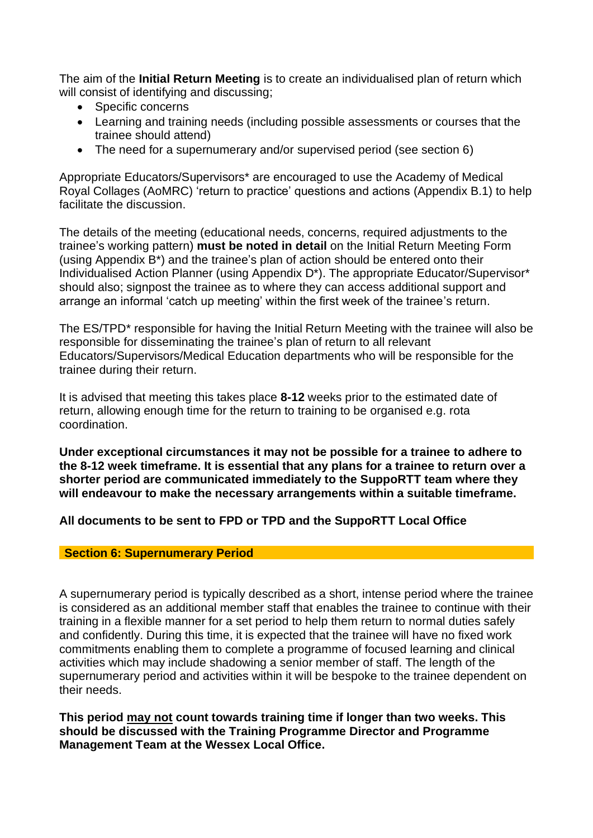The aim of the **Initial Return Meeting** is to create an individualised plan of return which will consist of identifying and discussing;

- Specific concerns
- Learning and training needs (including possible assessments or courses that the trainee should attend)
- The need for a supernumerary and/or supervised period (see section 6)

Appropriate Educators/Supervisors\* are encouraged to use the Academy of Medical Royal Collages (AoMRC) 'return to practice' questions and actions (Appendix B.1) to help facilitate the discussion.

The details of the meeting (educational needs, concerns, required adjustments to the trainee's working pattern) **must be noted in detail** on the Initial Return Meeting Form (using Appendix B\*) and the trainee's plan of action should be entered onto their Individualised Action Planner (using Appendix D\*). The appropriate Educator/Supervisor\* should also; signpost the trainee as to where they can access additional support and arrange an informal 'catch up meeting' within the first week of the trainee's return.

The ES/TPD\* responsible for having the Initial Return Meeting with the trainee will also be responsible for disseminating the trainee's plan of return to all relevant Educators/Supervisors/Medical Education departments who will be responsible for the trainee during their return.

It is advised that meeting this takes place **8-12** weeks prior to the estimated date of return, allowing enough time for the return to training to be organised e.g. rota coordination.

**Under exceptional circumstances it may not be possible for a trainee to adhere to the 8-12 week timeframe. It is essential that any plans for a trainee to return over a shorter period are communicated immediately to the SuppoRTT team where they will endeavour to make the necessary arrangements within a suitable timeframe.**

**All documents to be sent to FPD or TPD and the SuppoRTT Local Office**

## **Section 6: Supernumerary Period**

A supernumerary period is typically described as a short, intense period where the trainee is considered as an additional member staff that enables the trainee to continue with their training in a flexible manner for a set period to help them return to normal duties safely and confidently. During this time, it is expected that the trainee will have no fixed work commitments enabling them to complete a programme of focused learning and clinical activities which may include shadowing a senior member of staff. The length of the supernumerary period and activities within it will be bespoke to the trainee dependent on their needs.

**This period may not count towards training time if longer than two weeks. This should be discussed with the Training Programme Director and Programme Management Team at the Wessex Local Office.**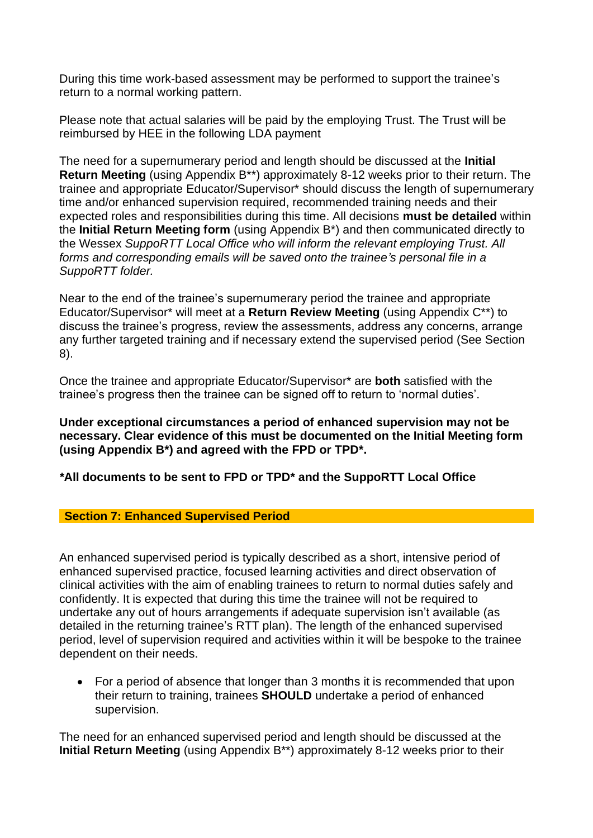During this time work-based assessment may be performed to support the trainee's return to a normal working pattern.

Please note that actual salaries will be paid by the employing Trust. The Trust will be reimbursed by HEE in the following LDA payment

The need for a supernumerary period and length should be discussed at the **Initial Return Meeting** (using Appendix B\*\*) approximately 8-12 weeks prior to their return. The trainee and appropriate Educator/Supervisor\* should discuss the length of supernumerary time and/or enhanced supervision required, recommended training needs and their expected roles and responsibilities during this time. All decisions **must be detailed** within the **Initial Return Meeting form** (using Appendix B\*) and then communicated directly to the Wessex *SuppoRTT Local Office who will inform the relevant employing Trust. All forms and corresponding emails will be saved onto the trainee's personal file in a SuppoRTT folder.*

Near to the end of the trainee's supernumerary period the trainee and appropriate Educator/Supervisor\* will meet at a **Return Review Meeting** (using Appendix C\*\*) to discuss the trainee's progress, review the assessments, address any concerns, arrange any further targeted training and if necessary extend the supervised period (See Section 8).

Once the trainee and appropriate Educator/Supervisor\* are **both** satisfied with the trainee's progress then the trainee can be signed off to return to 'normal duties'.

**Under exceptional circumstances a period of enhanced supervision may not be necessary. Clear evidence of this must be documented on the Initial Meeting form (using Appendix B\*) and agreed with the FPD or TPD\*.** 

*\****All documents to be sent to FPD or TPD\* and the SuppoRTT Local Office**

## **Section 7: Enhanced Supervised Period**

An enhanced supervised period is typically described as a short, intensive period of enhanced supervised practice, focused learning activities and direct observation of clinical activities with the aim of enabling trainees to return to normal duties safely and confidently. It is expected that during this time the trainee will not be required to undertake any out of hours arrangements if adequate supervision isn't available (as detailed in the returning trainee's RTT plan). The length of the enhanced supervised period, level of supervision required and activities within it will be bespoke to the trainee dependent on their needs.

• For a period of absence that longer than 3 months it is recommended that upon their return to training, trainees **SHOULD** undertake a period of enhanced supervision.

The need for an enhanced supervised period and length should be discussed at the **Initial Return Meeting** (using Appendix B\*\*) approximately 8-12 weeks prior to their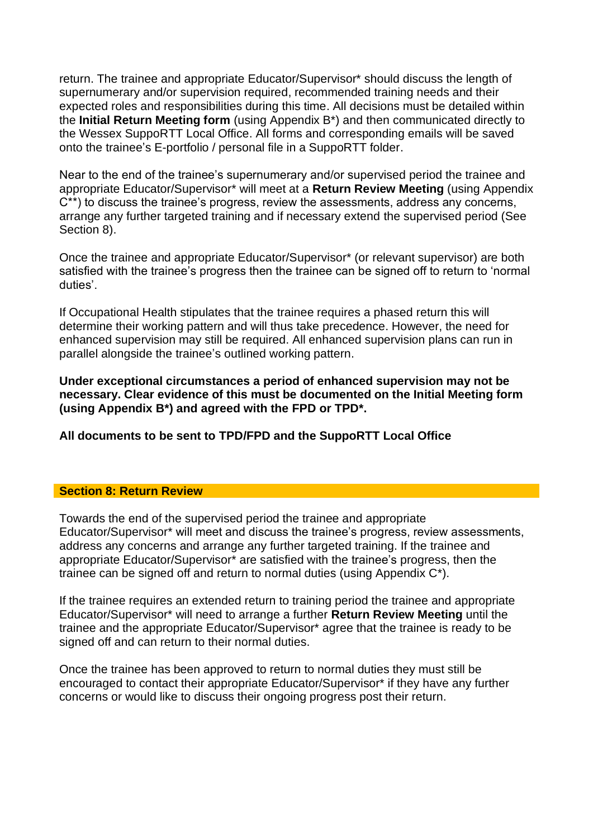return. The trainee and appropriate Educator/Supervisor\* should discuss the length of supernumerary and/or supervision required, recommended training needs and their expected roles and responsibilities during this time. All decisions must be detailed within the **Initial Return Meeting form** (using Appendix B\*) and then communicated directly to the Wessex SuppoRTT Local Office. All forms and corresponding emails will be saved onto the trainee's E-portfolio / personal file in a SuppoRTT folder.

Near to the end of the trainee's supernumerary and/or supervised period the trainee and appropriate Educator/Supervisor\* will meet at a **Return Review Meeting** (using Appendix C\*\*) to discuss the trainee's progress, review the assessments, address any concerns, arrange any further targeted training and if necessary extend the supervised period (See Section 8).

Once the trainee and appropriate Educator/Supervisor\* (or relevant supervisor) are both satisfied with the trainee's progress then the trainee can be signed off to return to 'normal duties'.

If Occupational Health stipulates that the trainee requires a phased return this will determine their working pattern and will thus take precedence. However, the need for enhanced supervision may still be required. All enhanced supervision plans can run in parallel alongside the trainee's outlined working pattern.

**Under exceptional circumstances a period of enhanced supervision may not be necessary. Clear evidence of this must be documented on the Initial Meeting form (using Appendix B\*) and agreed with the FPD or TPD\*.** 

**All documents to be sent to TPD/FPD and the SuppoRTT Local Office** 

### **Section 8: Return Review**

Towards the end of the supervised period the trainee and appropriate Educator/Supervisor\* will meet and discuss the trainee's progress, review assessments, address any concerns and arrange any further targeted training. If the trainee and appropriate Educator/Supervisor\* are satisfied with the trainee's progress, then the trainee can be signed off and return to normal duties (using Appendix C\*).

If the trainee requires an extended return to training period the trainee and appropriate Educator/Supervisor\* will need to arrange a further **Return Review Meeting** until the trainee and the appropriate Educator/Supervisor\* agree that the trainee is ready to be signed off and can return to their normal duties.

Once the trainee has been approved to return to normal duties they must still be encouraged to contact their appropriate Educator/Supervisor\* if they have any further concerns or would like to discuss their ongoing progress post their return.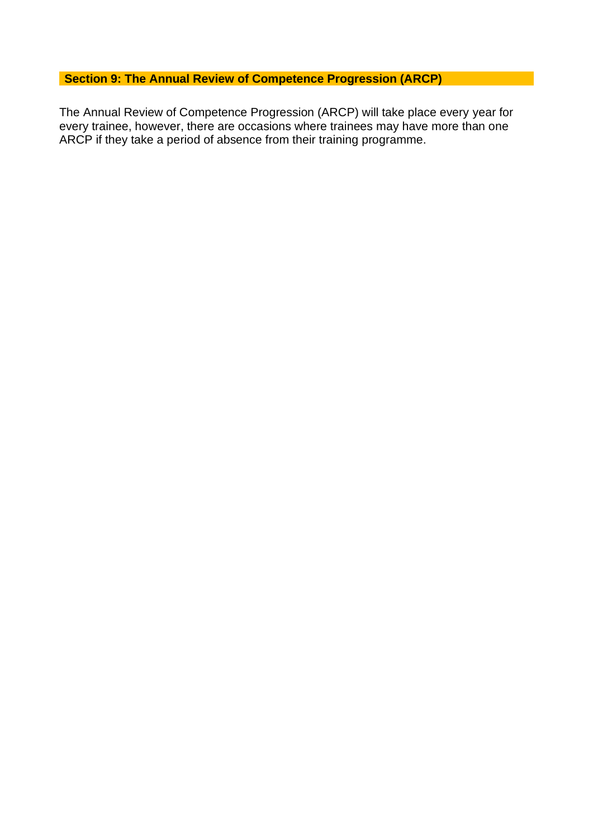## **Section 9: The Annual Review of Competence Progression (ARCP)**

The Annual Review of Competence Progression (ARCP) will take place every year for every trainee, however, there are occasions where trainees may have more than one ARCP if they take a period of absence from their training programme.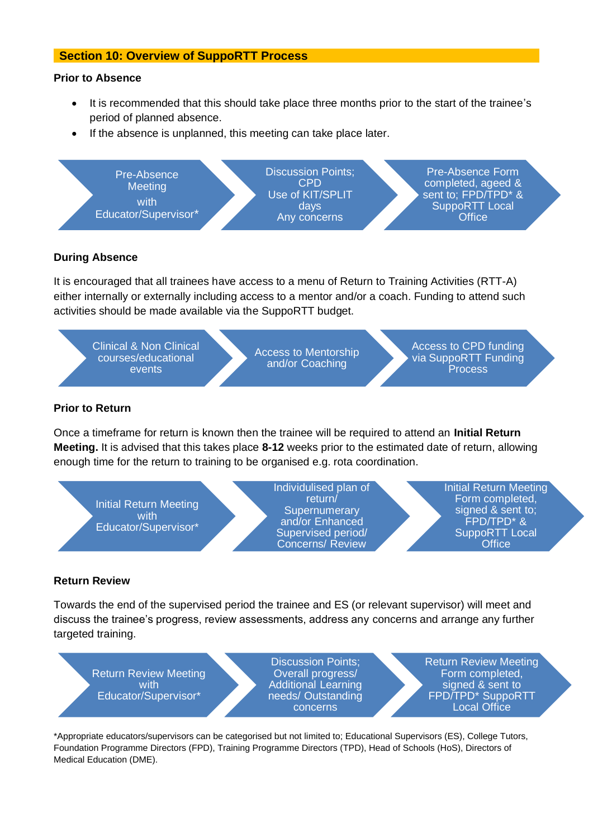#### **Section 10: Overview of SuppoRTT Process**

#### **Prior to Absence**

- It is recommended that this should take place three months prior to the start of the trainee's period of planned absence.
- If the absence is unplanned, this meeting can take place later.



#### **During Absence**

It is encouraged that all trainees have access to a menu of Return to Training Activities (RTT-A) either internally or externally including access to a mentor and/or a coach. Funding to attend such activities should be made available via the SuppoRTT budget.

Clinical & Non Clinical courses/educational events

Access to Mentorship and/or Coaching

Access to CPD funding via SuppoRTT Funding Process

#### **Prior to Return**

Once a timeframe for return is known then the trainee will be required to attend an **Initial Return Meeting.** It is advised that this takes place **8-12** weeks prior to the estimated date of return, allowing enough time for the return to training to be organised e.g. rota coordination.

**Initial Return Meeting** with Educator/Supervisor\*

Discussion Points; Individulised plan of return/ **Supernumerary** and/or Enhanced Supervised period/ Concerns/ Review

Date

Initial Return Meeting Form completed, signed & sent to; FPD/TPD\* & SuppoRTT Local **Office** 

#### **Return Review**

Towards the end of the supervised period the trainee and ES (or relevant supervisor) will meet and discuss the trainee's progress, review assessments, address any concerns and arrange any further targeted training.

Return Review Meeting with Educator/Supervisor\*

Discussion Points; Overall progress/ Additional Learning needs/ Outstanding concerns

Return Review Meeting Form completed, signed & sent to FPD/TPD\* SuppoRTT Local Office

\*Appropriate educators/supervisors can be categorised but not limited to; Educational Supervisors (ES), College Tutors, Foundation Programme Directors (FPD), Training Programme Directors (TPD), Head of Schools (HoS), Directors of Medical Education (DME).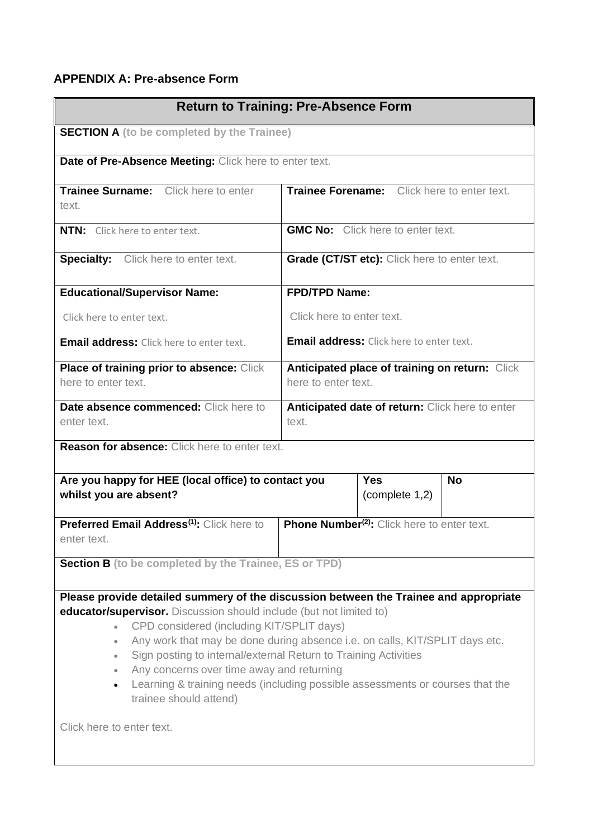## **APPENDIX A: Pre-absence Form**

| <b>Return to Training: Pre-Absence Form</b>                                                                                                                                                                                                                                                                                                                                                                                                                                                                                                                                             |                                                          |                                                         |           |
|-----------------------------------------------------------------------------------------------------------------------------------------------------------------------------------------------------------------------------------------------------------------------------------------------------------------------------------------------------------------------------------------------------------------------------------------------------------------------------------------------------------------------------------------------------------------------------------------|----------------------------------------------------------|---------------------------------------------------------|-----------|
| <b>SECTION A</b> (to be completed by the Trainee)                                                                                                                                                                                                                                                                                                                                                                                                                                                                                                                                       |                                                          |                                                         |           |
| Date of Pre-Absence Meeting: Click here to enter text.                                                                                                                                                                                                                                                                                                                                                                                                                                                                                                                                  |                                                          |                                                         |           |
| Trainee Surname: Click here to enter<br>text.                                                                                                                                                                                                                                                                                                                                                                                                                                                                                                                                           |                                                          | Trainee Forename: Click here to enter text.             |           |
| <b>NTN:</b> Click here to enter text.                                                                                                                                                                                                                                                                                                                                                                                                                                                                                                                                                   |                                                          | <b>GMC No:</b> Click here to enter text.                |           |
| <b>Specialty:</b> Click here to enter text.                                                                                                                                                                                                                                                                                                                                                                                                                                                                                                                                             |                                                          | Grade (CT/ST etc): Click here to enter text.            |           |
| <b>Educational/Supervisor Name:</b>                                                                                                                                                                                                                                                                                                                                                                                                                                                                                                                                                     | <b>FPD/TPD Name:</b>                                     |                                                         |           |
| Click here to enter text.                                                                                                                                                                                                                                                                                                                                                                                                                                                                                                                                                               | Click here to enter text.                                |                                                         |           |
| <b>Email address:</b> Click here to enter text.                                                                                                                                                                                                                                                                                                                                                                                                                                                                                                                                         |                                                          | <b>Email address:</b> Click here to enter text.         |           |
| Place of training prior to absence: Click<br>here to enter text.                                                                                                                                                                                                                                                                                                                                                                                                                                                                                                                        | here to enter text.                                      | Anticipated place of training on return: Click          |           |
| Date absence commenced: Click here to<br>enter text.                                                                                                                                                                                                                                                                                                                                                                                                                                                                                                                                    | Anticipated date of return: Click here to enter<br>text. |                                                         |           |
| <b>Reason for absence:</b> Click here to enter text.                                                                                                                                                                                                                                                                                                                                                                                                                                                                                                                                    |                                                          |                                                         |           |
| Are you happy for HEE (local office) to contact you<br>whilst you are absent?                                                                                                                                                                                                                                                                                                                                                                                                                                                                                                           |                                                          | <b>Yes</b><br>(complete 1,2)                            | <b>No</b> |
| Preferred Email Address <sup>(1)</sup> : Click here to<br>enter text.                                                                                                                                                                                                                                                                                                                                                                                                                                                                                                                   |                                                          | Phone Number <sup>(2)</sup> : Click here to enter text. |           |
| <b>Section B</b> (to be completed by the Trainee, ES or TPD)                                                                                                                                                                                                                                                                                                                                                                                                                                                                                                                            |                                                          |                                                         |           |
| Please provide detailed summery of the discussion between the Trainee and appropriate<br>educator/supervisor. Discussion should include (but not limited to)<br>CPD considered (including KIT/SPLIT days)<br>Any work that may be done during absence i.e. on calls, KIT/SPLIT days etc.<br>Sign posting to internal/external Return to Training Activities<br>$\bullet$<br>Any concerns over time away and returning<br>$\bullet$<br>Learning & training needs (including possible assessments or courses that the<br>$\bullet$<br>trainee should attend)<br>Click here to enter text. |                                                          |                                                         |           |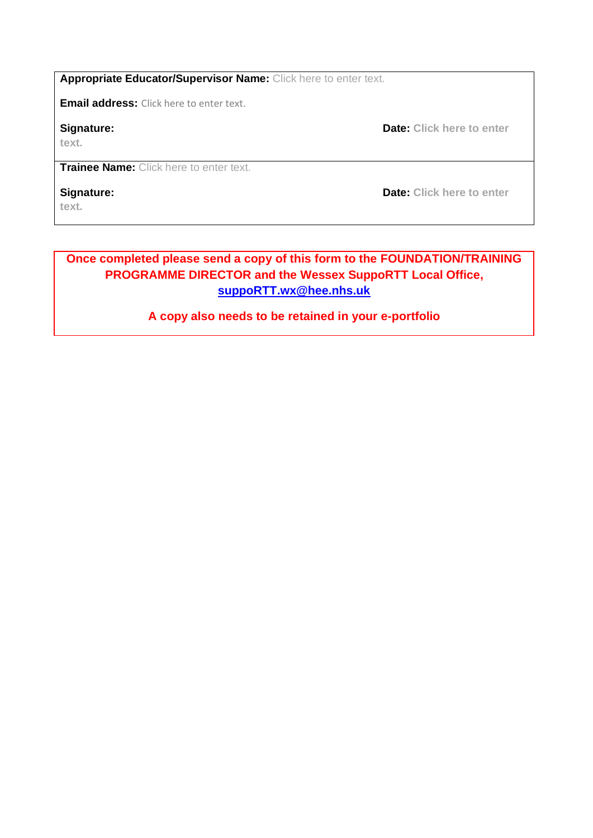**Appropriate Educator/Supervisor Name:** Click here to enter text.

**Email address:** Click here to enter text.

**text.**

**Signature: Date: Click here to enter <b>Signature**:

**Trainee Name:** Click here to enter text.

**text.**

**Signature: Date: Click here to enter <b>Signature**:

## **Once completed please send a copy of this form to the FOUNDATION/TRAINING PROGRAMME DIRECTOR and the Wessex SuppoRTT Local Office, [suppoRTT.wx@hee.nhs.uk](mailto:suppoRTT.wx@hee.nhs.uk)**

## **A copy also needs to be retained in your e-portfolio**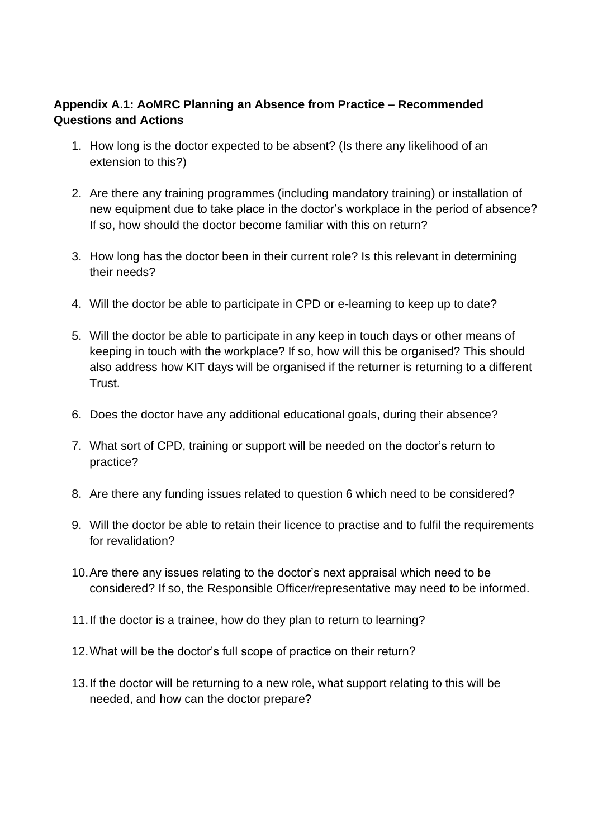## **Appendix A.1: AoMRC Planning an Absence from Practice – Recommended Questions and Actions**

- 1. How long is the doctor expected to be absent? (Is there any likelihood of an extension to this?)
- 2. Are there any training programmes (including mandatory training) or installation of new equipment due to take place in the doctor's workplace in the period of absence? If so, how should the doctor become familiar with this on return?
- 3. How long has the doctor been in their current role? Is this relevant in determining their needs?
- 4. Will the doctor be able to participate in CPD or e-learning to keep up to date?
- 5. Will the doctor be able to participate in any keep in touch days or other means of keeping in touch with the workplace? If so, how will this be organised? This should also address how KIT days will be organised if the returner is returning to a different Trust.
- 6. Does the doctor have any additional educational goals, during their absence?
- 7. What sort of CPD, training or support will be needed on the doctor's return to practice?
- 8. Are there any funding issues related to question 6 which need to be considered?
- 9. Will the doctor be able to retain their licence to practise and to fulfil the requirements for revalidation?
- 10.Are there any issues relating to the doctor's next appraisal which need to be considered? If so, the Responsible Officer/representative may need to be informed.
- 11.If the doctor is a trainee, how do they plan to return to learning?
- 12.What will be the doctor's full scope of practice on their return?
- 13.If the doctor will be returning to a new role, what support relating to this will be needed, and how can the doctor prepare?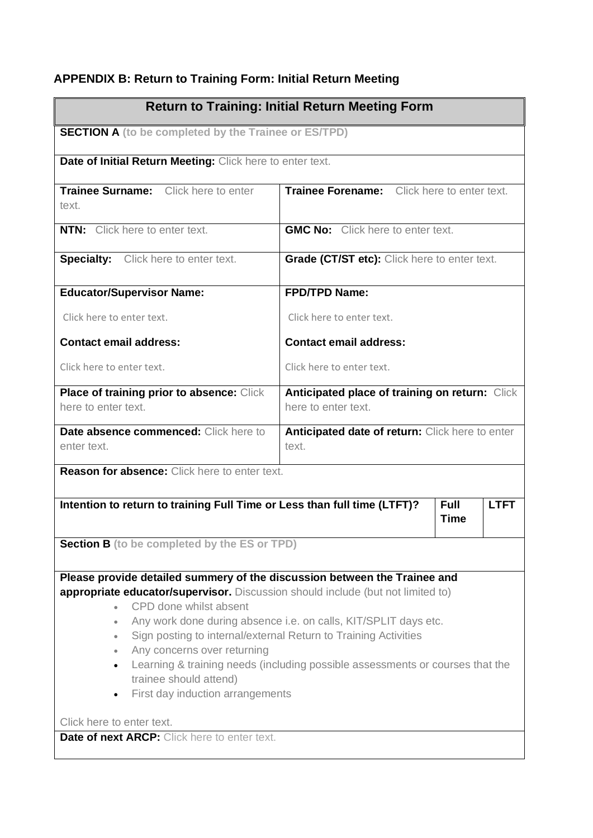# **APPENDIX B: Return to Training Form: Initial Return Meeting**

| <b>SECTION A</b> (to be completed by the Trainee or ES/TPD)<br>Date of Initial Return Meeting: Click here to enter text.<br>Trainee Forename: Click here to enter text.<br><b>GMC No:</b> Click here to enter text.<br><b>Grade (CT/ST etc):</b> Click here to enter text.<br>FPD/TPD Name:<br>Click here to enter text.                                                                                                |  |  |
|-------------------------------------------------------------------------------------------------------------------------------------------------------------------------------------------------------------------------------------------------------------------------------------------------------------------------------------------------------------------------------------------------------------------------|--|--|
|                                                                                                                                                                                                                                                                                                                                                                                                                         |  |  |
|                                                                                                                                                                                                                                                                                                                                                                                                                         |  |  |
|                                                                                                                                                                                                                                                                                                                                                                                                                         |  |  |
|                                                                                                                                                                                                                                                                                                                                                                                                                         |  |  |
|                                                                                                                                                                                                                                                                                                                                                                                                                         |  |  |
|                                                                                                                                                                                                                                                                                                                                                                                                                         |  |  |
|                                                                                                                                                                                                                                                                                                                                                                                                                         |  |  |
| <b>Contact email address:</b>                                                                                                                                                                                                                                                                                                                                                                                           |  |  |
| Click here to enter text.                                                                                                                                                                                                                                                                                                                                                                                               |  |  |
| Anticipated place of training on return: Click                                                                                                                                                                                                                                                                                                                                                                          |  |  |
| here to enter text.                                                                                                                                                                                                                                                                                                                                                                                                     |  |  |
| Anticipated date of return: Click here to enter                                                                                                                                                                                                                                                                                                                                                                         |  |  |
| text.                                                                                                                                                                                                                                                                                                                                                                                                                   |  |  |
|                                                                                                                                                                                                                                                                                                                                                                                                                         |  |  |
| Intention to return to training Full Time or Less than full time (LTFT)?<br><b>Full</b><br><b>LTFT</b><br><b>Time</b>                                                                                                                                                                                                                                                                                                   |  |  |
| <b>Section B</b> (to be completed by the ES or TPD)                                                                                                                                                                                                                                                                                                                                                                     |  |  |
| Please provide detailed summery of the discussion between the Trainee and<br>appropriate educator/supervisor. Discussion should include (but not limited to)<br>Any work done during absence i.e. on calls, KIT/SPLIT days etc.<br>Sign posting to internal/external Return to Training Activities<br>Learning & training needs (including possible assessments or courses that the<br>First day induction arrangements |  |  |
|                                                                                                                                                                                                                                                                                                                                                                                                                         |  |  |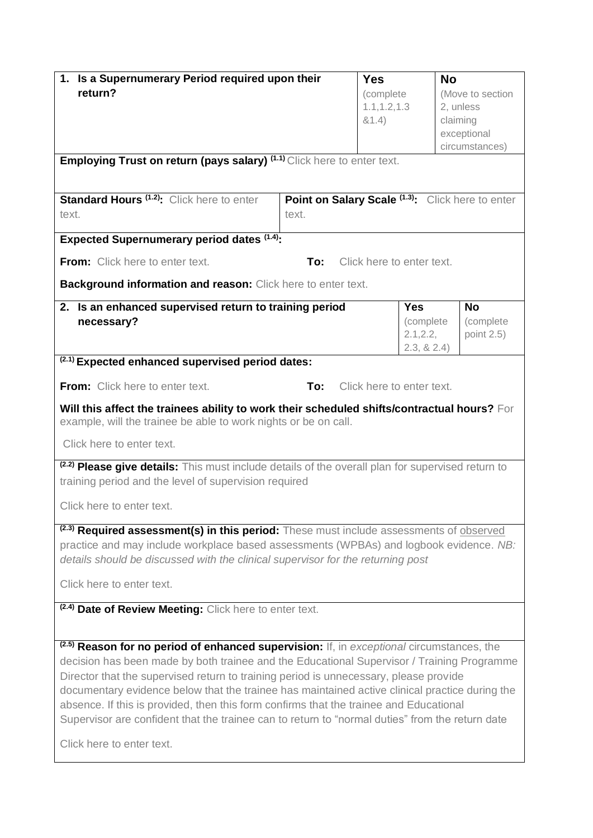| 1. Is a Supernumerary Period required upon their<br>return?<br>Employing Trust on return (pays salary) (1.1) Click here to enter text.<br><b>Standard Hours (1.2):</b> Click here to enter<br>text.<br><b>Expected Supernumerary period dates (1.4):</b>                                                                                                                                                                                                                                                                                                                                                                | Point on Salary Scale (1.3): Click here to enter<br>text. | <b>Yes</b><br>(complete<br>1.1, 1.2, 1.3<br>81.4) | <b>No</b>                                   | (Move to section<br>2, unless<br>claiming<br>exceptional<br>circumstances) |
|-------------------------------------------------------------------------------------------------------------------------------------------------------------------------------------------------------------------------------------------------------------------------------------------------------------------------------------------------------------------------------------------------------------------------------------------------------------------------------------------------------------------------------------------------------------------------------------------------------------------------|-----------------------------------------------------------|---------------------------------------------------|---------------------------------------------|----------------------------------------------------------------------------|
| <b>From:</b> Click here to enter text.                                                                                                                                                                                                                                                                                                                                                                                                                                                                                                                                                                                  | To:                                                       |                                                   | Click here to enter text.                   |                                                                            |
| Background information and reason: Click here to enter text.                                                                                                                                                                                                                                                                                                                                                                                                                                                                                                                                                            |                                                           |                                                   |                                             |                                                                            |
| 2. Is an enhanced supervised return to training period<br>necessary?                                                                                                                                                                                                                                                                                                                                                                                                                                                                                                                                                    |                                                           |                                                   | Yes<br>(complete<br>2.1, 2.2,<br>2.3, 8.2.4 | <b>No</b><br>(complete<br>point 2.5)                                       |
| (2.1) Expected enhanced supervised period dates:                                                                                                                                                                                                                                                                                                                                                                                                                                                                                                                                                                        |                                                           |                                                   |                                             |                                                                            |
| <b>From:</b> Click here to enter text.                                                                                                                                                                                                                                                                                                                                                                                                                                                                                                                                                                                  | To:                                                       |                                                   | Click here to enter text.                   |                                                                            |
| Will this affect the trainees ability to work their scheduled shifts/contractual hours? For<br>example, will the trainee be able to work nights or be on call.                                                                                                                                                                                                                                                                                                                                                                                                                                                          |                                                           |                                                   |                                             |                                                                            |
| Click here to enter text.                                                                                                                                                                                                                                                                                                                                                                                                                                                                                                                                                                                               |                                                           |                                                   |                                             |                                                                            |
| (2.2) Please give details: This must include details of the overall plan for supervised return to<br>training period and the level of supervision required                                                                                                                                                                                                                                                                                                                                                                                                                                                              |                                                           |                                                   |                                             |                                                                            |
| Click here to enter text.                                                                                                                                                                                                                                                                                                                                                                                                                                                                                                                                                                                               |                                                           |                                                   |                                             |                                                                            |
| <sup>(2.3)</sup> Required assessment(s) in this period: These must include assessments of observed<br>practice and may include workplace based assessments (WPBAs) and logbook evidence. NB:<br>details should be discussed with the clinical supervisor for the returning post<br>Click here to enter text.                                                                                                                                                                                                                                                                                                            |                                                           |                                                   |                                             |                                                                            |
| <sup>(2.4)</sup> Date of Review Meeting: Click here to enter text.                                                                                                                                                                                                                                                                                                                                                                                                                                                                                                                                                      |                                                           |                                                   |                                             |                                                                            |
| <sup>(2.5)</sup> Reason for no period of enhanced supervision: If, in exceptional circumstances, the<br>decision has been made by both trainee and the Educational Supervisor / Training Programme<br>Director that the supervised return to training period is unnecessary, please provide<br>documentary evidence below that the trainee has maintained active clinical practice during the<br>absence. If this is provided, then this form confirms that the trainee and Educational<br>Supervisor are confident that the trainee can to return to "normal duties" from the return date<br>Click here to enter text. |                                                           |                                                   |                                             |                                                                            |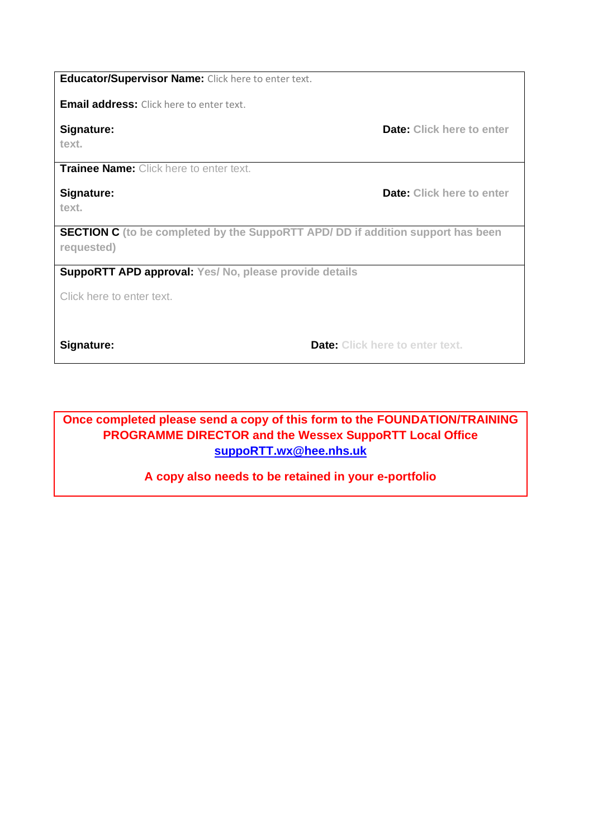**Educator/Supervisor Name:** Click here to enter text.

**Email address:** Click here to enter text.

**text.**

**Trainee Name:** Click here to enter text.

# **Signature: Date: Click here to enter <b>Signature**:

**text.**

**SECTION C (to be completed by the SuppoRTT APD/ DD if addition support has been requested)**

**SuppoRTT APD approval: Yes/ No, please provide details** 

Click here to enter text.

**Signature: Date: Click here to enter text.** 

## **Once completed please send a copy of this form to the FOUNDATION/TRAINING PROGRAMME DIRECTOR and the Wessex SuppoRTT Local Office [suppoRTT.wx@hee.nhs.uk](mailto:suppoRTT.wx@hee.nhs.uk)**

## **A copy also needs to be retained in your e-portfolio**

**Signature: Date: Click here to enter a structure: Date: Click here to enter**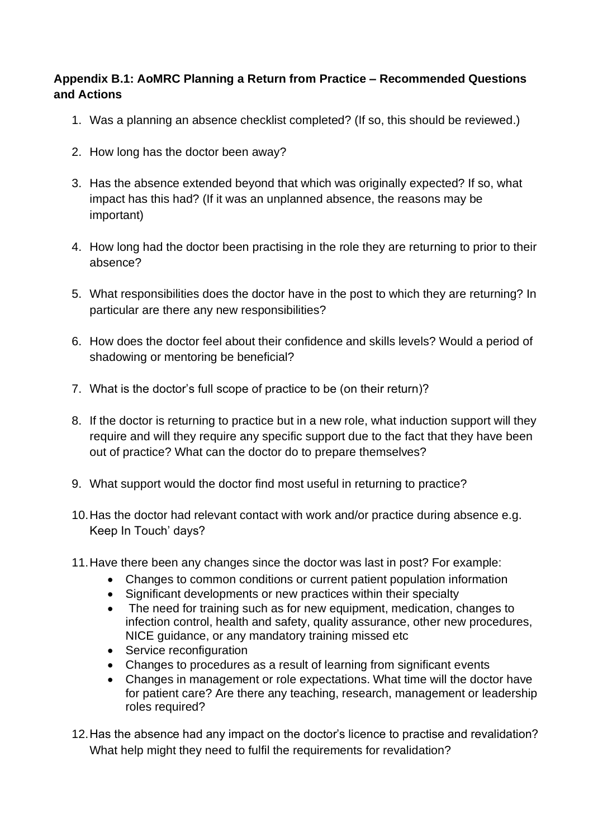## **Appendix B.1: AoMRC Planning a Return from Practice – Recommended Questions and Actions**

- 1. Was a planning an absence checklist completed? (If so, this should be reviewed.)
- 2. How long has the doctor been away?
- 3. Has the absence extended beyond that which was originally expected? If so, what impact has this had? (If it was an unplanned absence, the reasons may be important)
- 4. How long had the doctor been practising in the role they are returning to prior to their absence?
- 5. What responsibilities does the doctor have in the post to which they are returning? In particular are there any new responsibilities?
- 6. How does the doctor feel about their confidence and skills levels? Would a period of shadowing or mentoring be beneficial?
- 7. What is the doctor's full scope of practice to be (on their return)?
- 8. If the doctor is returning to practice but in a new role, what induction support will they require and will they require any specific support due to the fact that they have been out of practice? What can the doctor do to prepare themselves?
- 9. What support would the doctor find most useful in returning to practice?
- 10.Has the doctor had relevant contact with work and/or practice during absence e.g. Keep In Touch' days?
- 11.Have there been any changes since the doctor was last in post? For example:
	- Changes to common conditions or current patient population information
	- Significant developments or new practices within their specialty
	- The need for training such as for new equipment, medication, changes to infection control, health and safety, quality assurance, other new procedures, NICE guidance, or any mandatory training missed etc
	- Service reconfiguration
	- Changes to procedures as a result of learning from significant events
	- Changes in management or role expectations. What time will the doctor have for patient care? Are there any teaching, research, management or leadership roles required?
- 12.Has the absence had any impact on the doctor's licence to practise and revalidation? What help might they need to fulfil the requirements for revalidation?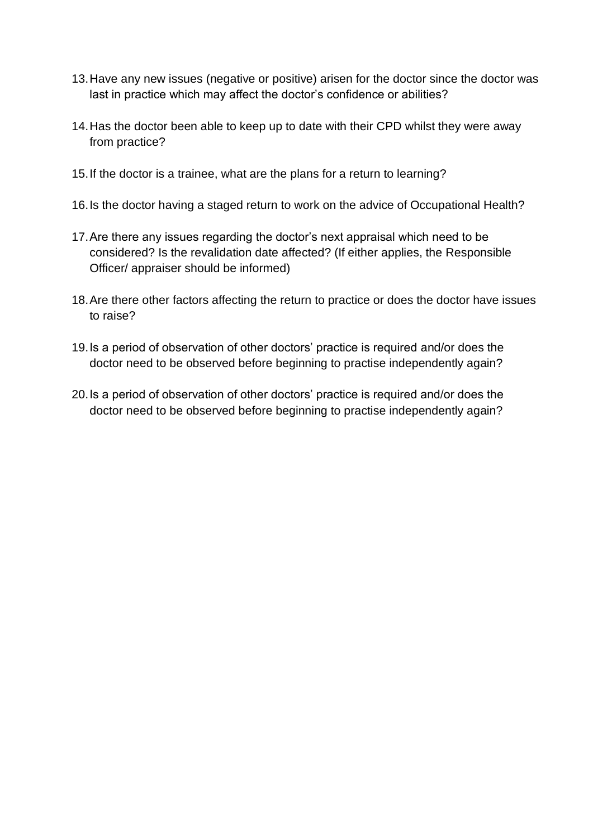- 13.Have any new issues (negative or positive) arisen for the doctor since the doctor was last in practice which may affect the doctor's confidence or abilities?
- 14.Has the doctor been able to keep up to date with their CPD whilst they were away from practice?
- 15.If the doctor is a trainee, what are the plans for a return to learning?
- 16.Is the doctor having a staged return to work on the advice of Occupational Health?
- 17.Are there any issues regarding the doctor's next appraisal which need to be considered? Is the revalidation date affected? (If either applies, the Responsible Officer/ appraiser should be informed)
- 18.Are there other factors affecting the return to practice or does the doctor have issues to raise?
- 19.Is a period of observation of other doctors' practice is required and/or does the doctor need to be observed before beginning to practise independently again?
- 20.Is a period of observation of other doctors' practice is required and/or does the doctor need to be observed before beginning to practise independently again?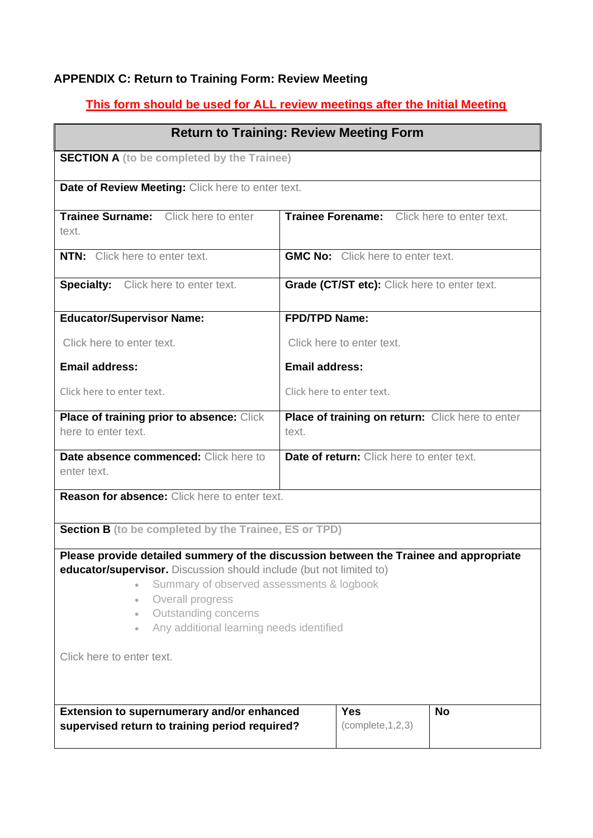## **APPENDIX C: Return to Training Form: Review Meeting**

## **This form should be used for ALL review meetings after the Initial Meeting**

| <b>Return to Training: Review Meeting Form</b>                                                                                                                                                                                                                                                                                                                                     |                                                           |  |  |
|------------------------------------------------------------------------------------------------------------------------------------------------------------------------------------------------------------------------------------------------------------------------------------------------------------------------------------------------------------------------------------|-----------------------------------------------------------|--|--|
| <b>SECTION A</b> (to be completed by the Trainee)                                                                                                                                                                                                                                                                                                                                  |                                                           |  |  |
| Date of Review Meeting: Click here to enter text.                                                                                                                                                                                                                                                                                                                                  |                                                           |  |  |
| Trainee Surname: Click here to enter<br>text.                                                                                                                                                                                                                                                                                                                                      | Trainee Forename: Click here to enter text.               |  |  |
| <b>NTN:</b> Click here to enter text.                                                                                                                                                                                                                                                                                                                                              | <b>GMC No:</b> Click here to enter text.                  |  |  |
| <b>Specialty:</b> Click here to enter text.                                                                                                                                                                                                                                                                                                                                        | Grade (CT/ST etc): Click here to enter text.              |  |  |
| <b>Educator/Supervisor Name:</b>                                                                                                                                                                                                                                                                                                                                                   | <b>FPD/TPD Name:</b>                                      |  |  |
| Click here to enter text.                                                                                                                                                                                                                                                                                                                                                          | Click here to enter text.                                 |  |  |
| <b>Email address:</b>                                                                                                                                                                                                                                                                                                                                                              | <b>Email address:</b>                                     |  |  |
| Click here to enter text.                                                                                                                                                                                                                                                                                                                                                          | Click here to enter text.                                 |  |  |
| Place of training prior to absence: Click<br>here to enter text.                                                                                                                                                                                                                                                                                                                   | Place of training on return: Click here to enter<br>text. |  |  |
| Date absence commenced: Click here to<br>enter text.                                                                                                                                                                                                                                                                                                                               | Date of return: Click here to enter text.                 |  |  |
| <b>Reason for absence:</b> Click here to enter text.                                                                                                                                                                                                                                                                                                                               |                                                           |  |  |
| <b>Section B</b> (to be completed by the Trainee, ES or TPD)                                                                                                                                                                                                                                                                                                                       |                                                           |  |  |
| Please provide detailed summery of the discussion between the Trainee and appropriate<br>educator/supervisor. Discussion should include (but not limited to)<br>Summary of observed assessments & logbook<br>$\bullet$<br>Overall progress<br>$\bullet$<br>Outstanding concerns<br>$\bullet$<br>Any additional learning needs identified<br>$\bullet$<br>Click here to enter text. |                                                           |  |  |
| Extension to supernumerary and/or enhanced<br>supervised return to training period required?                                                                                                                                                                                                                                                                                       | <b>Yes</b><br><b>No</b><br>(complete, 1, 2, 3)            |  |  |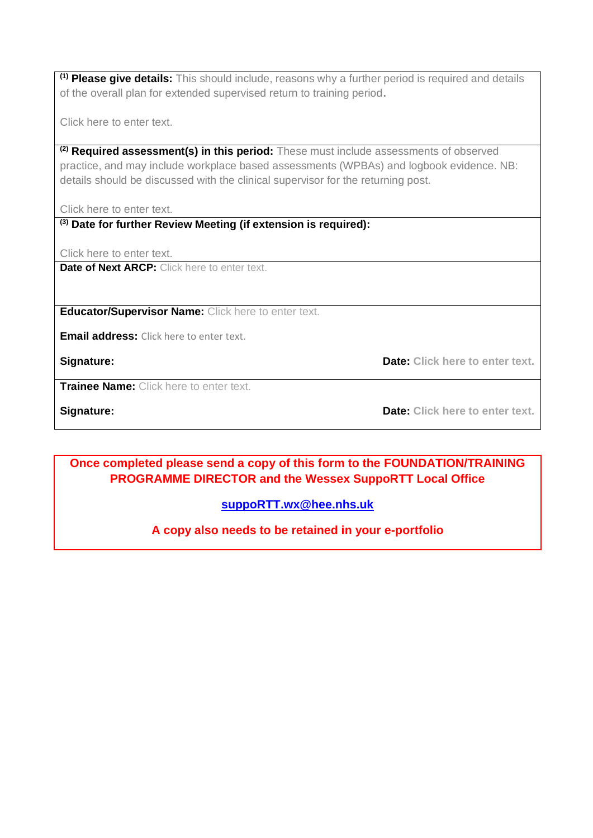**(1) Please give details:** This should include, reasons why a further period is required and details of the overall plan for extended supervised return to training period**.** 

Click here to enter text.

**(2) Required assessment(s) in this period:** These must include assessments of observed practice, and may include workplace based assessments (WPBAs) and logbook evidence. NB: details should be discussed with the clinical supervisor for the returning post.

Click here to enter text.

**(3) Date for further Review Meeting (if extension is required):**

Click here to enter text.

**Date of Next ARCP:** Click here to enter text.

**Educator/Supervisor Name:** Click here to enter text.

**Email address:** Click here to enter text.

**Signature: Date: Click here to enter text.** 

**Trainee Name:** Click here to enter text.

**Signature: Date: Click here to enter text.**

**Once completed please send a copy of this form to the FOUNDATION/TRAINING PROGRAMME DIRECTOR and the Wessex SuppoRTT Local Office**

**[suppoRTT.wx@hee.nhs.uk](mailto:suppoRTT.wx@hee.nhs.uk)**

**A copy also needs to be retained in your e-portfolio**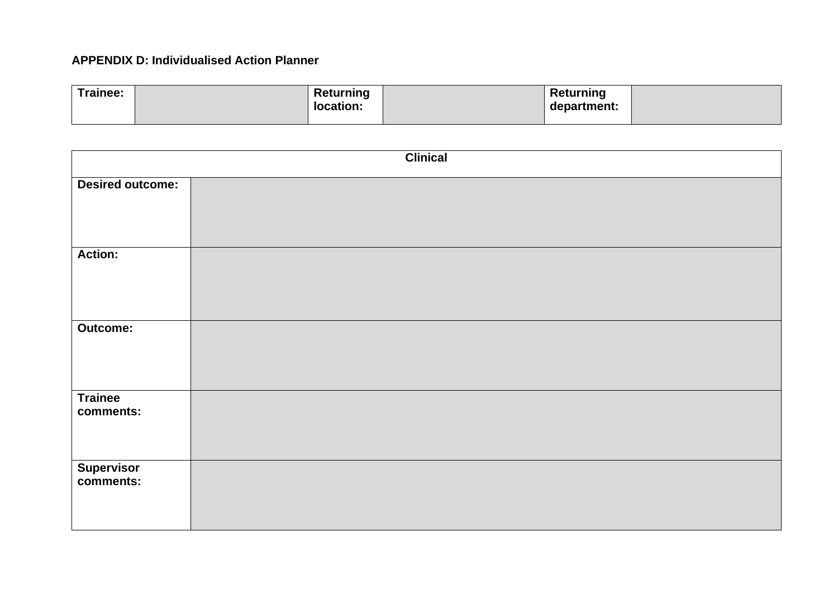## **APPENDIX D: Individualised Action Planner**

| Trainee: | Returning<br>location: | Returning<br>department: |  |
|----------|------------------------|--------------------------|--|
|          |                        |                          |  |

| <b>Clinical</b>             |  |  |
|-----------------------------|--|--|
| <b>Desired outcome:</b>     |  |  |
| <b>Action:</b>              |  |  |
| <b>Outcome:</b>             |  |  |
| <b>Trainee</b><br>comments: |  |  |
| Supervisor<br>comments:     |  |  |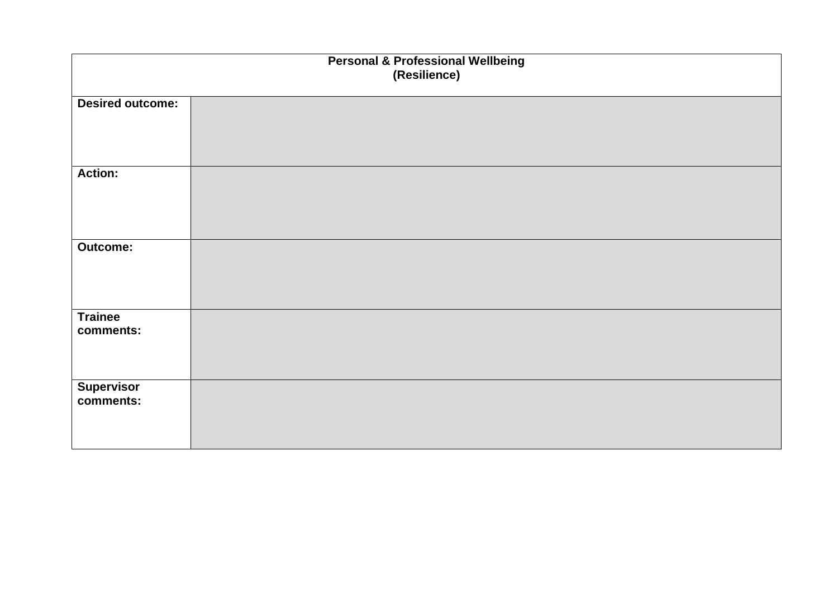| <b>Personal &amp; Professional Wellbeing</b><br>(Resilience) |  |  |
|--------------------------------------------------------------|--|--|
| <b>Desired outcome:</b>                                      |  |  |
| <b>Action:</b>                                               |  |  |
| <b>Outcome:</b>                                              |  |  |
| <b>Trainee</b><br>comments:                                  |  |  |
| Supervisor<br>comments:                                      |  |  |